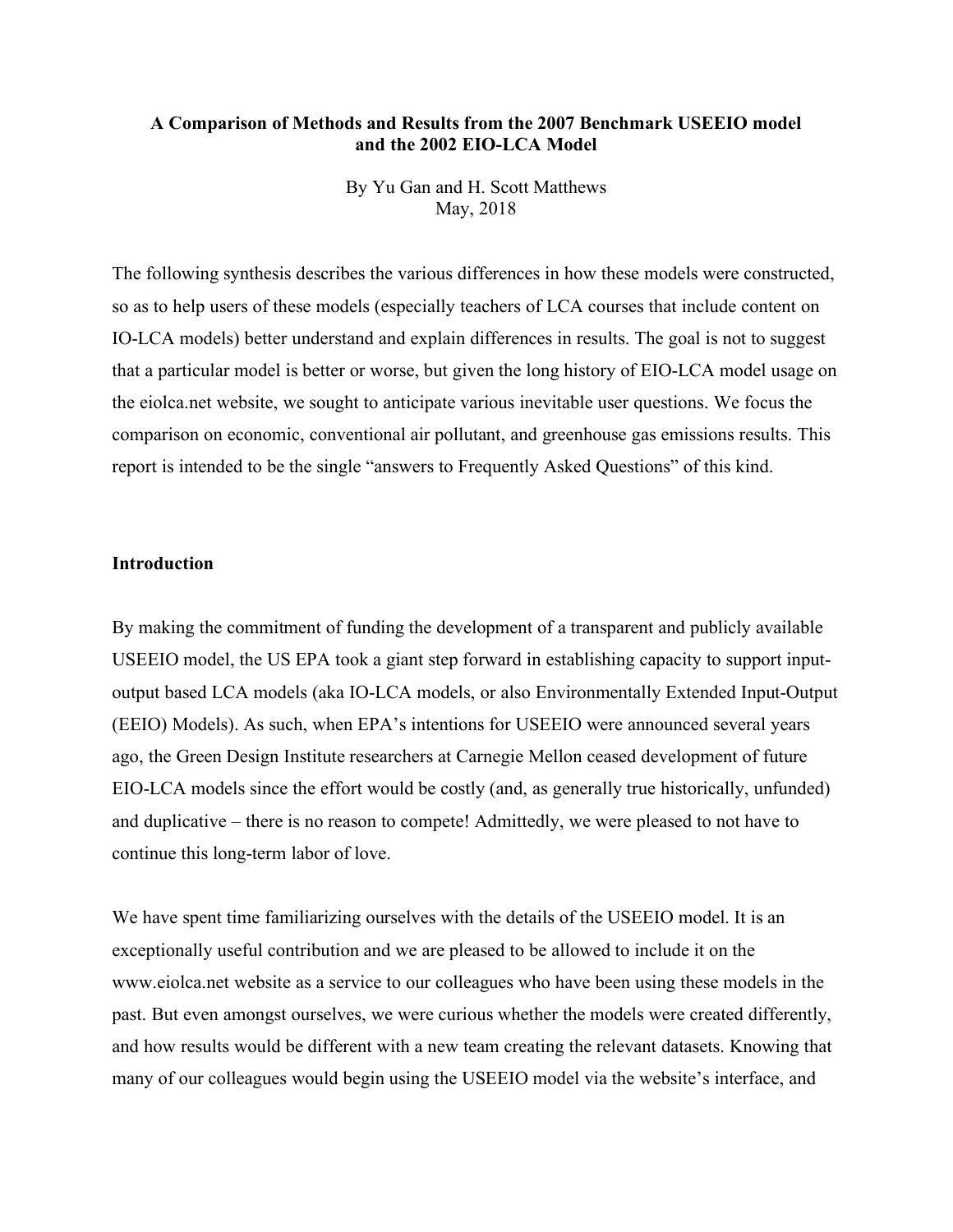## **A Comparison of Methods and Results from the 2007 Benchmark USEEIO model and the 2002 EIO-LCA Model**

By Yu Gan and H. Scott Matthews May, 2018

The following synthesis describes the various differences in how these models were constructed, so as to help users of these models (especially teachers of LCA courses that include content on IO-LCA models) better understand and explain differences in results. The goal is not to suggest that a particular model is better or worse, but given the long history of EIO-LCA model usage on the eiolca.net website, we sought to anticipate various inevitable user questions. We focus the comparison on economic, conventional air pollutant, and greenhouse gas emissions results. This report is intended to be the single "answers to Frequently Asked Questions" of this kind.

### **Introduction**

By making the commitment of funding the development of a transparent and publicly available USEEIO model, the US EPA took a giant step forward in establishing capacity to support inputoutput based LCA models (aka IO-LCA models, or also Environmentally Extended Input-Output (EEIO) Models). As such, when EPA's intentions for USEEIO were announced several years ago, the Green Design Institute researchers at Carnegie Mellon ceased development of future EIO-LCA models since the effort would be costly (and, as generally true historically, unfunded) and duplicative – there is no reason to compete! Admittedly, we were pleased to not have to continue this long-term labor of love.

We have spent time familiarizing ourselves with the details of the USEEIO model. It is an exceptionally useful contribution and we are pleased to be allowed to include it on the www.eiolca.net website as a service to our colleagues who have been using these models in the past. But even amongst ourselves, we were curious whether the models were created differently, and how results would be different with a new team creating the relevant datasets. Knowing that many of our colleagues would begin using the USEEIO model via the website's interface, and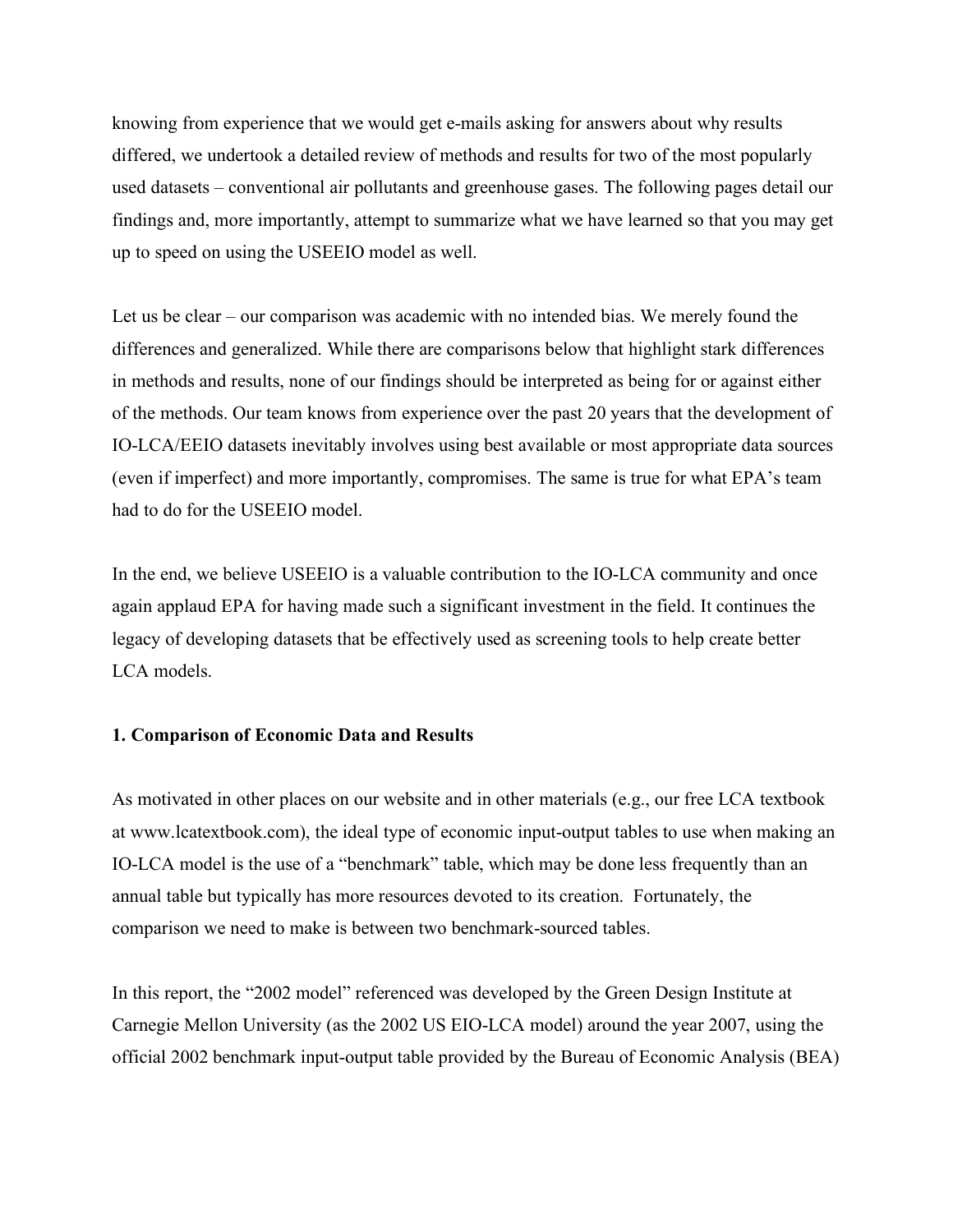knowing from experience that we would get e-mails asking for answers about why results differed, we undertook a detailed review of methods and results for two of the most popularly used datasets – conventional air pollutants and greenhouse gases. The following pages detail our findings and, more importantly, attempt to summarize what we have learned so that you may get up to speed on using the USEEIO model as well.

Let us be clear – our comparison was academic with no intended bias. We merely found the differences and generalized. While there are comparisons below that highlight stark differences in methods and results, none of our findings should be interpreted as being for or against either of the methods. Our team knows from experience over the past 20 years that the development of IO-LCA/EEIO datasets inevitably involves using best available or most appropriate data sources (even if imperfect) and more importantly, compromises. The same is true for what EPA's team had to do for the USEEIO model.

In the end, we believe USEEIO is a valuable contribution to the IO-LCA community and once again applaud EPA for having made such a significant investment in the field. It continues the legacy of developing datasets that be effectively used as screening tools to help create better LCA models.

## **1. Comparison of Economic Data and Results**

As motivated in other places on our website and in other materials (e.g., our free LCA textbook at www.lcatextbook.com), the ideal type of economic input-output tables to use when making an IO-LCA model is the use of a "benchmark" table, which may be done less frequently than an annual table but typically has more resources devoted to its creation. Fortunately, the comparison we need to make is between two benchmark-sourced tables.

In this report, the "2002 model" referenced was developed by the Green Design Institute at Carnegie Mellon University (as the 2002 US EIO-LCA model) around the year 2007, using the official 2002 benchmark input-output table provided by the Bureau of Economic Analysis (BEA)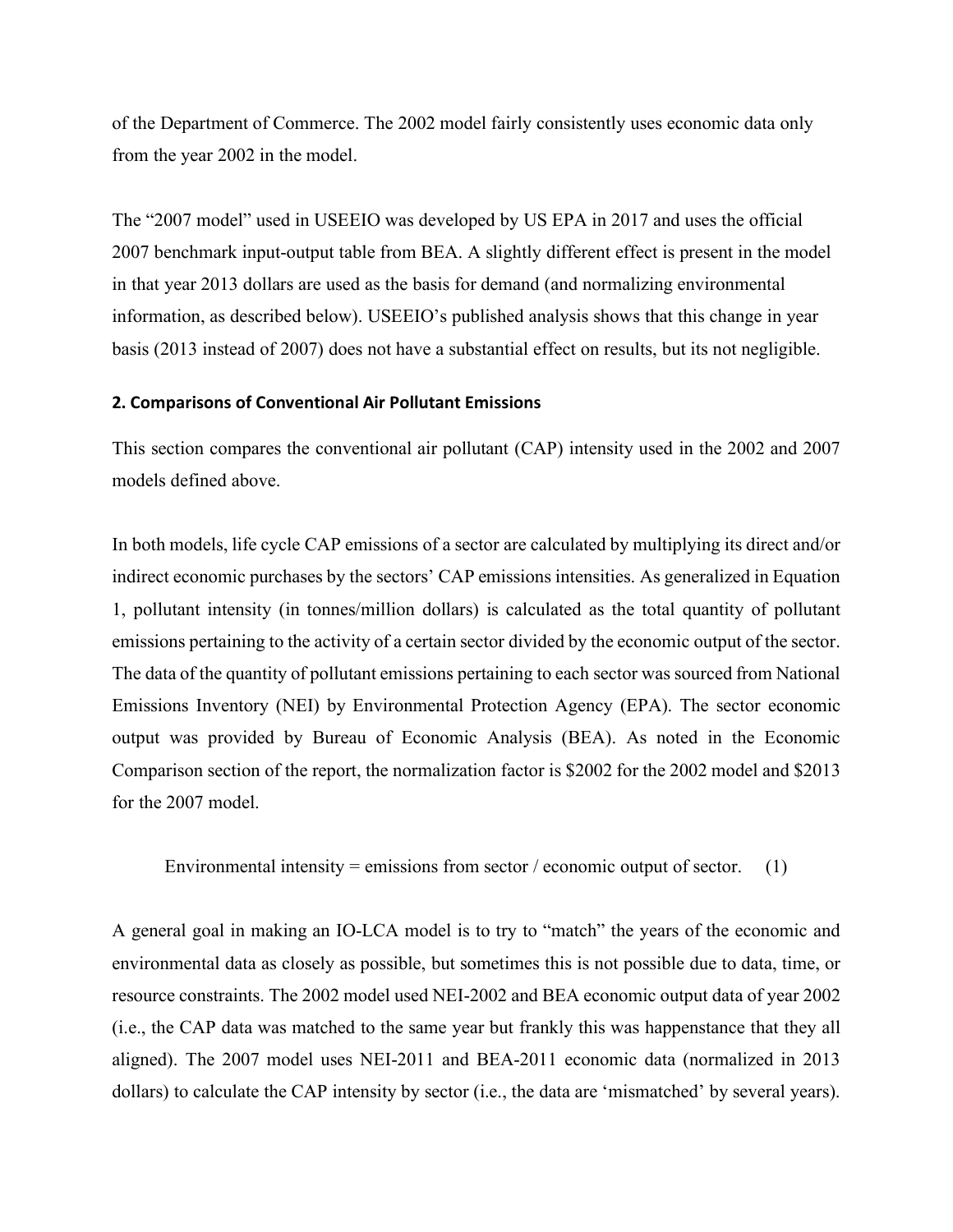of the Department of Commerce. The 2002 model fairly consistently uses economic data only from the year 2002 in the model.

The "2007 model" used in USEEIO was developed by US EPA in 2017 and uses the official 2007 benchmark input-output table from BEA. A slightly different effect is present in the model in that year 2013 dollars are used as the basis for demand (and normalizing environmental information, as described below). USEEIO's published analysis shows that this change in year basis (2013 instead of 2007) does not have a substantial effect on results, but its not negligible.

### **2. Comparisons of Conventional Air Pollutant Emissions**

This section compares the conventional air pollutant (CAP) intensity used in the 2002 and 2007 models defined above.

In both models, life cycle CAP emissions of a sector are calculated by multiplying its direct and/or indirect economic purchases by the sectors' CAP emissions intensities. As generalized in Equation 1, pollutant intensity (in tonnes/million dollars) is calculated as the total quantity of pollutant emissions pertaining to the activity of a certain sector divided by the economic output of the sector. The data of the quantity of pollutant emissions pertaining to each sector was sourced from National Emissions Inventory (NEI) by Environmental Protection Agency (EPA). The sector economic output was provided by Bureau of Economic Analysis (BEA). As noted in the Economic Comparison section of the report, the normalization factor is \$2002 for the 2002 model and \$2013 for the 2007 model.

Environmental intensity = emissions from sector / economic output of sector. (1)

A general goal in making an IO-LCA model is to try to "match" the years of the economic and environmental data as closely as possible, but sometimes this is not possible due to data, time, or resource constraints. The 2002 model used NEI-2002 and BEA economic output data of year 2002 (i.e., the CAP data was matched to the same year but frankly this was happenstance that they all aligned). The 2007 model uses NEI-2011 and BEA-2011 economic data (normalized in 2013 dollars) to calculate the CAP intensity by sector (i.e., the data are 'mismatched' by several years).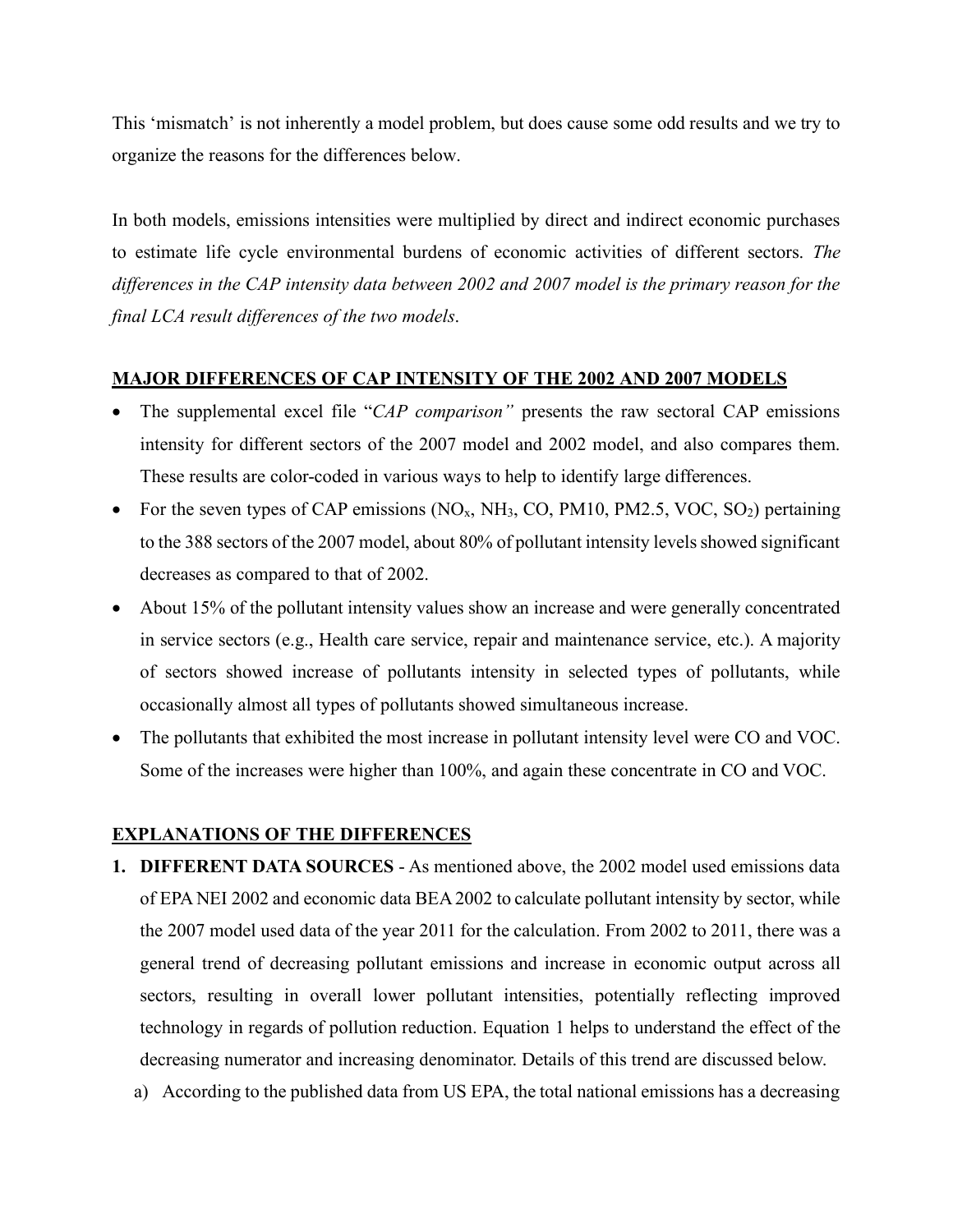This 'mismatch' is not inherently a model problem, but does cause some odd results and we try to organize the reasons for the differences below.

In both models, emissions intensities were multiplied by direct and indirect economic purchases to estimate life cycle environmental burdens of economic activities of different sectors. *The differences in the CAP intensity data between 2002 and 2007 model is the primary reason for the final LCA result differences of the two models*.

# **MAJOR DIFFERENCES OF CAP INTENSITY OF THE 2002 AND 2007 MODELS**

- The supplemental excel file "*CAP comparison"* presents the raw sectoral CAP emissions intensity for different sectors of the 2007 model and 2002 model, and also compares them. These results are color-coded in various ways to help to identify large differences.
- For the seven types of CAP emissions  $(NO<sub>x</sub>, NH<sub>3</sub>, CO, PM10, PM2.5, VOC, SO<sub>2</sub>)$  pertaining to the 388 sectors of the 2007 model, about 80% of pollutant intensity levels showed significant decreases as compared to that of 2002.
- About 15% of the pollutant intensity values show an increase and were generally concentrated in service sectors (e.g., Health care service, repair and maintenance service, etc.). A majority of sectors showed increase of pollutants intensity in selected types of pollutants, while occasionally almost all types of pollutants showed simultaneous increase.
- The pollutants that exhibited the most increase in pollutant intensity level were CO and VOC. Some of the increases were higher than 100%, and again these concentrate in CO and VOC.

# **EXPLANATIONS OF THE DIFFERENCES**

- **1. DIFFERENT DATA SOURCES** As mentioned above, the 2002 model used emissions data of EPA NEI 2002 and economic data BEA 2002 to calculate pollutant intensity by sector, while the 2007 model used data of the year 2011 for the calculation. From 2002 to 2011, there was a general trend of decreasing pollutant emissions and increase in economic output across all sectors, resulting in overall lower pollutant intensities, potentially reflecting improved technology in regards of pollution reduction. Equation 1 helps to understand the effect of the decreasing numerator and increasing denominator. Details of this trend are discussed below.
	- a) According to the published data from US EPA, the total national emissions has a decreasing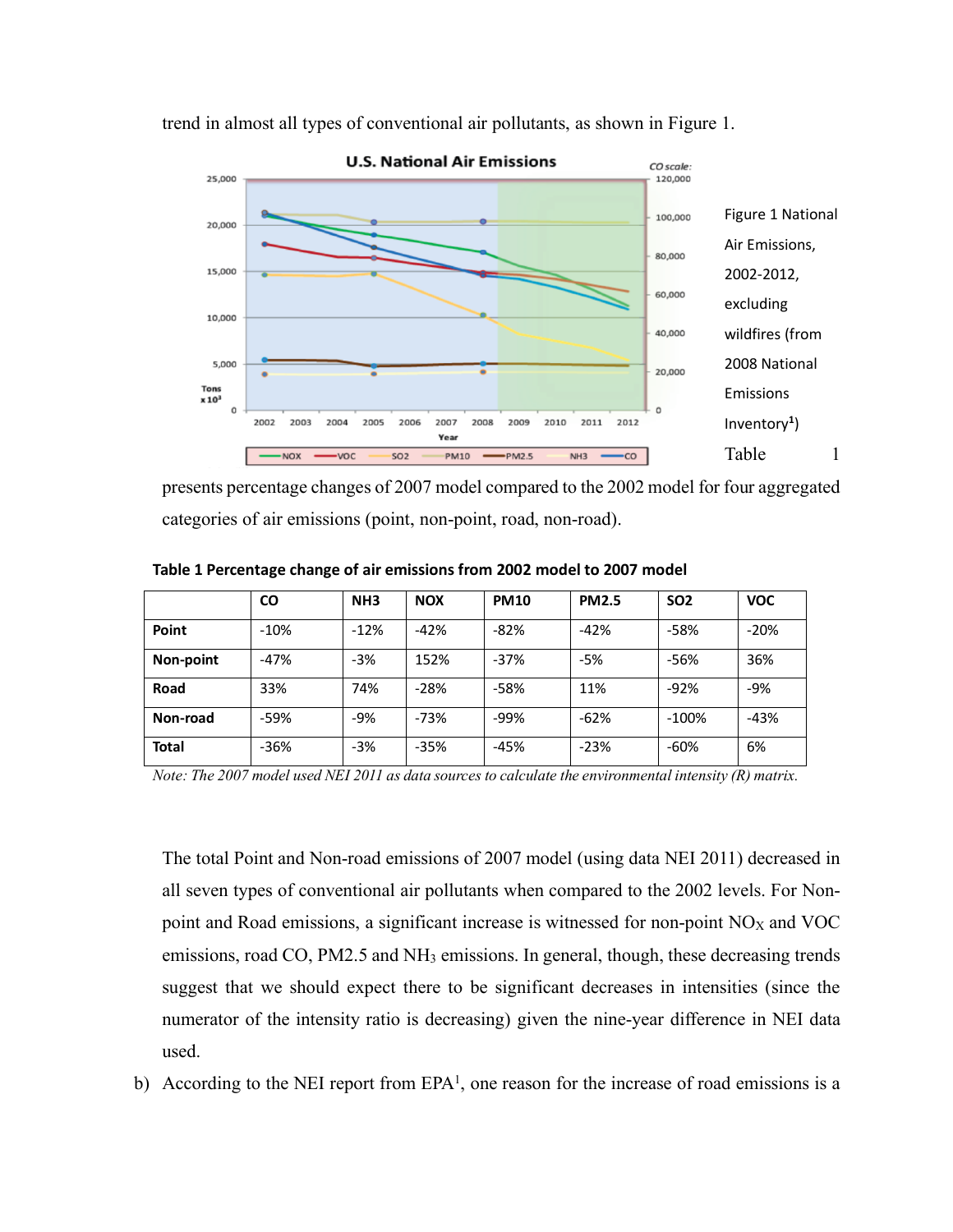

trend in almost all types of conventional air pollutants, as shown in Figure 1.

presents percentage changes of 2007 model compared to the 2002 model for four aggregated categories of air emissions (point, non-point, road, non-road).

|           | CO     | NH <sub>3</sub> | <b>NOX</b> | <b>PM10</b> | <b>PM2.5</b> | SO <sub>2</sub> | <b>VOC</b> |
|-----------|--------|-----------------|------------|-------------|--------------|-----------------|------------|
| Point     | $-10%$ | $-12%$          | $-42%$     | $-82%$      | $-42%$       | -58%            | $-20%$     |
| Non-point | $-47%$ | $-3%$           | 152%       | $-37%$      | -5%          | -56%            | 36%        |
| Road      | 33%    | 74%             | $-28%$     | $-58%$      | 11%          | $-92%$          | $-9%$      |
| Non-road  | -59%   | $-9%$           | $-73%$     | -99%        | $-62%$       | $-100%$         | $-43%$     |
| Total     | $-36%$ | $-3%$           | $-35%$     | $-45%$      | $-23%$       | $-60%$          | 6%         |

**Table 1 Percentage change of air emissions from 2002 model to 2007 model**

*Note: The 2007 model used NEI 2011 as data sources to calculate the environmental intensity (R) matrix.*

The total Point and Non-road emissions of 2007 model (using data NEI 2011) decreased in all seven types of conventional air pollutants when compared to the 2002 levels. For Nonpoint and Road emissions, a significant increase is witnessed for non-point  $NO<sub>X</sub>$  and  $VOC$ emissions, road CO, PM2.5 and NH<sub>3</sub> emissions. In general, though, these decreasing trends suggest that we should expect there to be significant decreases in intensities (since the numerator of the intensity ratio is decreasing) given the nine-year difference in NEI data used.

b) According to the NEI report from  $EPA<sup>1</sup>$ , one reason for the increase of road emissions is a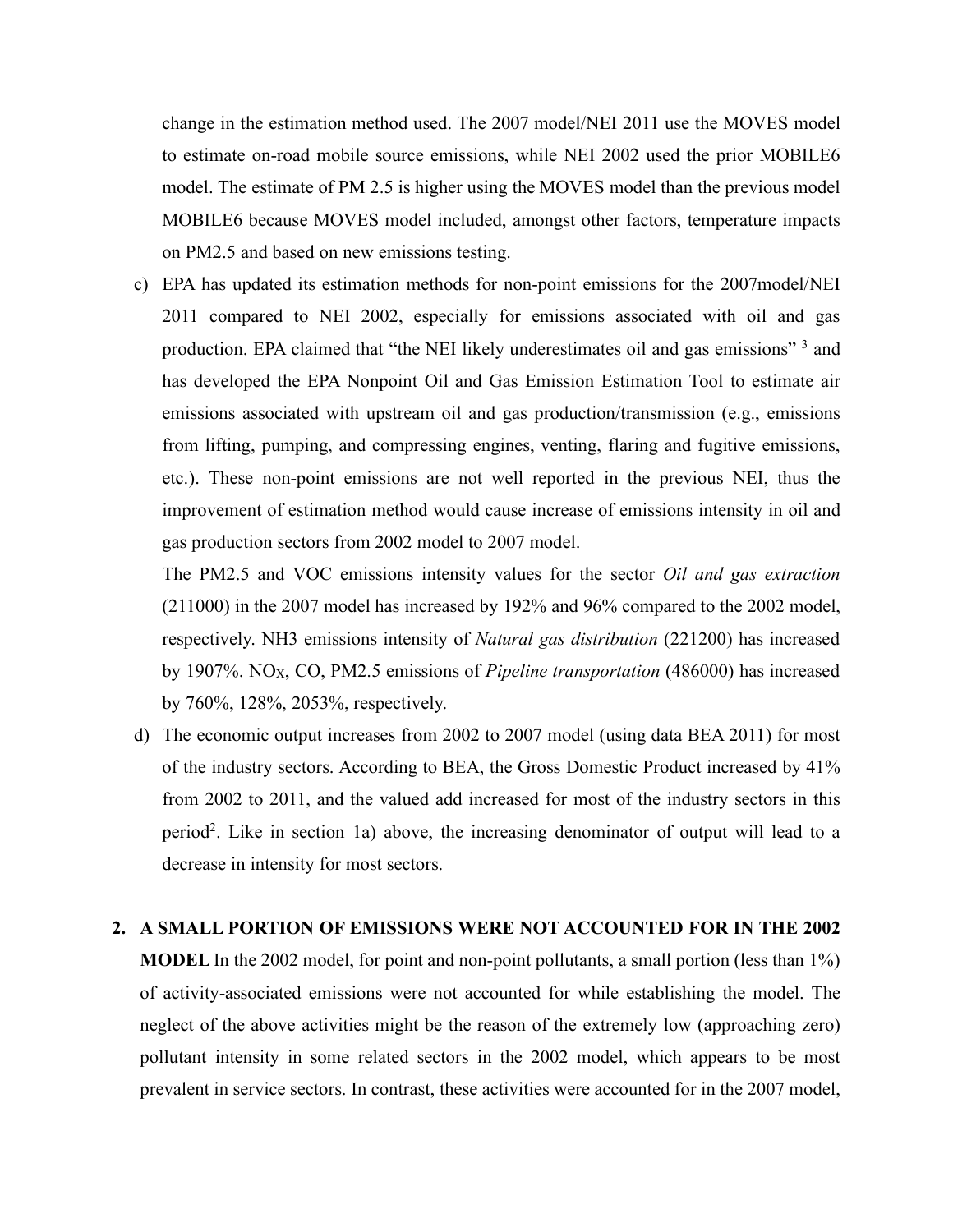change in the estimation method used. The 2007 model/NEI 2011 use the MOVES model to estimate on-road mobile source emissions, while NEI 2002 used the prior MOBILE6 model. The estimate of PM 2.5 is higher using the MOVES model than the previous model MOBILE6 because MOVES model included, amongst other factors, temperature impacts on PM2.5 and based on new emissions testing.

c) EPA has updated its estimation methods for non-point emissions for the 2007model/NEI 2011 compared to NEI 2002, especially for emissions associated with oil and gas production. EPA claimed that "the NEI likely underestimates oil and gas emissions" <sup>3</sup> and has developed the EPA Nonpoint Oil and Gas Emission Estimation Tool to estimate air emissions associated with upstream oil and gas production/transmission (e.g., emissions from lifting, pumping, and compressing engines, venting, flaring and fugitive emissions, etc.). These non-point emissions are not well reported in the previous NEI, thus the improvement of estimation method would cause increase of emissions intensity in oil and gas production sectors from 2002 model to 2007 model.

The PM2.5 and VOC emissions intensity values for the sector *Oil and gas extraction* (211000) in the 2007 model has increased by 192% and 96% compared to the 2002 model, respectively. NH3 emissions intensity of *Natural gas distribution* (221200) has increased by 1907%. NOX, CO, PM2.5 emissions of *Pipeline transportation* (486000) has increased by 760%, 128%, 2053%, respectively.

d) The economic output increases from 2002 to 2007 model (using data BEA 2011) for most of the industry sectors. According to BEA, the Gross Domestic Product increased by 41% from 2002 to 2011, and the valued add increased for most of the industry sectors in this period2. Like in section 1a) above, the increasing denominator of output will lead to a decrease in intensity for most sectors.

#### **2. A SMALL PORTION OF EMISSIONS WERE NOT ACCOUNTED FOR IN THE 2002**

**MODEL** In the 2002 model, for point and non-point pollutants, a small portion (less than 1%) of activity-associated emissions were not accounted for while establishing the model. The neglect of the above activities might be the reason of the extremely low (approaching zero) pollutant intensity in some related sectors in the 2002 model, which appears to be most prevalent in service sectors. In contrast, these activities were accounted for in the 2007 model,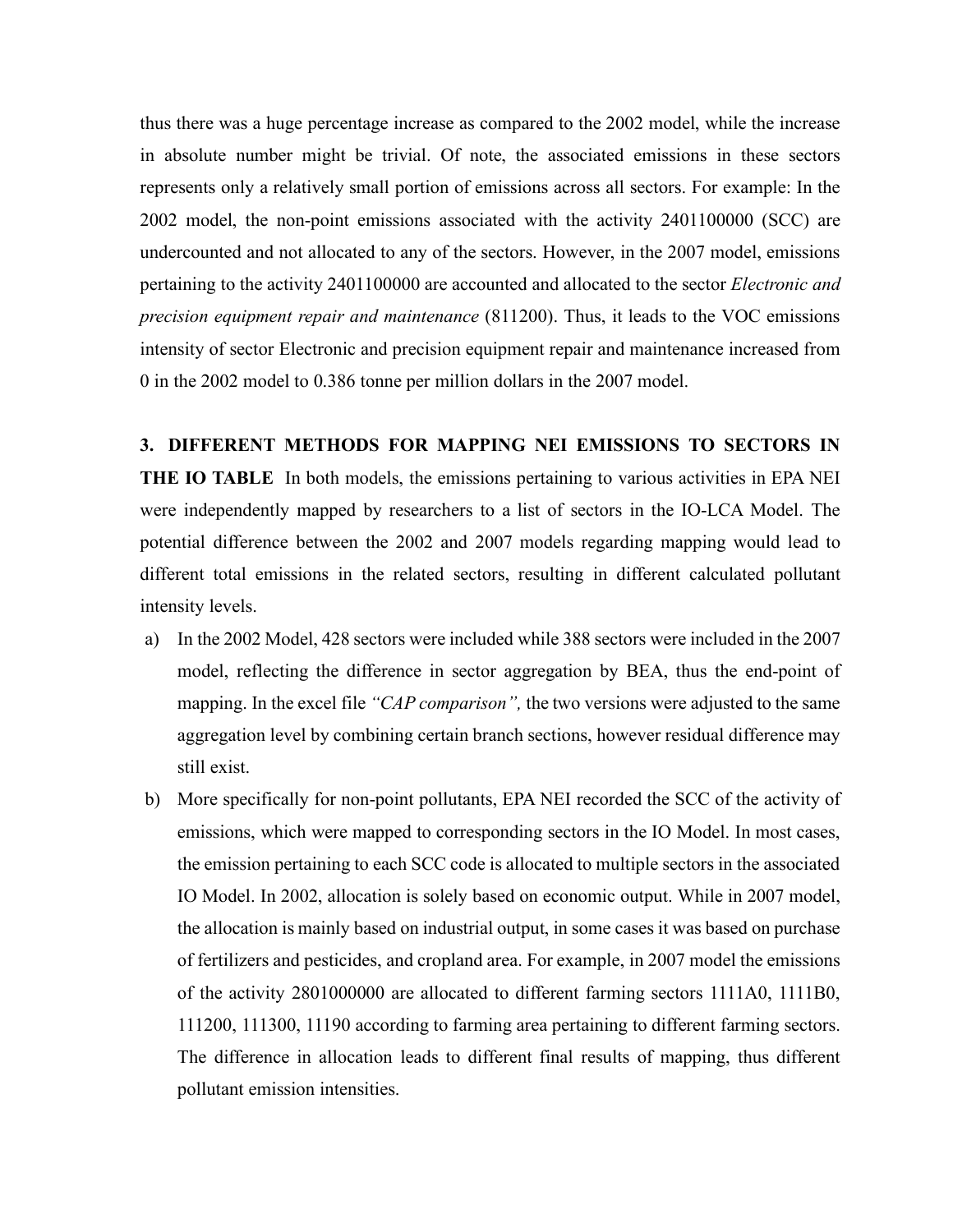thus there was a huge percentage increase as compared to the 2002 model, while the increase in absolute number might be trivial. Of note, the associated emissions in these sectors represents only a relatively small portion of emissions across all sectors. For example: In the 2002 model, the non-point emissions associated with the activity 2401100000 (SCC) are undercounted and not allocated to any of the sectors. However, in the 2007 model, emissions pertaining to the activity 2401100000 are accounted and allocated to the sector *Electronic and precision equipment repair and maintenance* (811200). Thus, it leads to the VOC emissions intensity of sector Electronic and precision equipment repair and maintenance increased from 0 in the 2002 model to 0.386 tonne per million dollars in the 2007 model.

## **3. DIFFERENT METHODS FOR MAPPING NEI EMISSIONS TO SECTORS IN**

**THE IO TABLE** In both models, the emissions pertaining to various activities in EPA NEI were independently mapped by researchers to a list of sectors in the IO-LCA Model. The potential difference between the 2002 and 2007 models regarding mapping would lead to different total emissions in the related sectors, resulting in different calculated pollutant intensity levels.

- a) In the 2002 Model, 428 sectors were included while 388 sectors were included in the 2007 model, reflecting the difference in sector aggregation by BEA, thus the end-point of mapping. In the excel file *"CAP comparison",* the two versions were adjusted to the same aggregation level by combining certain branch sections, however residual difference may still exist.
- b) More specifically for non-point pollutants, EPA NEI recorded the SCC of the activity of emissions, which were mapped to corresponding sectors in the IO Model. In most cases, the emission pertaining to each SCC code is allocated to multiple sectors in the associated IO Model. In 2002, allocation is solely based on economic output. While in 2007 model, the allocation is mainly based on industrial output, in some cases it was based on purchase of fertilizers and pesticides, and cropland area. For example, in 2007 model the emissions of the activity 2801000000 are allocated to different farming sectors 1111A0, 1111B0, 111200, 111300, 11190 according to farming area pertaining to different farming sectors. The difference in allocation leads to different final results of mapping, thus different pollutant emission intensities.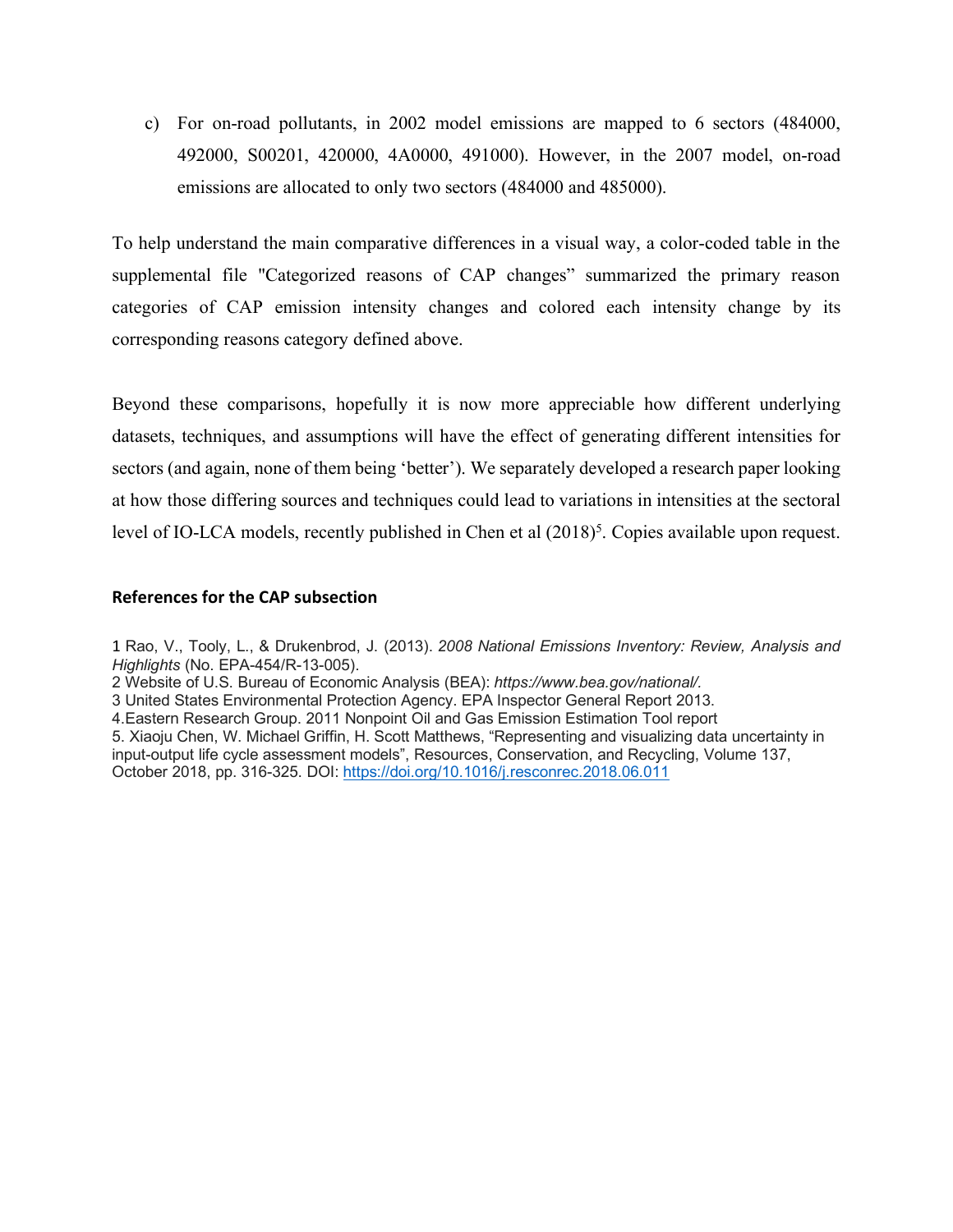c) For on-road pollutants, in 2002 model emissions are mapped to 6 sectors (484000, 492000, S00201, 420000, 4A0000, 491000). However, in the 2007 model, on-road emissions are allocated to only two sectors (484000 and 485000).

To help understand the main comparative differences in a visual way, a color-coded table in the supplemental file "Categorized reasons of CAP changes" summarized the primary reason categories of CAP emission intensity changes and colored each intensity change by its corresponding reasons category defined above.

Beyond these comparisons, hopefully it is now more appreciable how different underlying datasets, techniques, and assumptions will have the effect of generating different intensities for sectors (and again, none of them being 'better'). We separately developed a research paper looking at how those differing sources and techniques could lead to variations in intensities at the sectoral level of IO-LCA models, recently published in Chen et al  $(2018)^5$ . Copies available upon request.

#### **References for the CAP subsection**

1 Rao, V., Tooly, L., & Drukenbrod, J. (2013). *2008 National Emissions Inventory: Review, Analysis and Highlights* (No. EPA-454/R-13-005). 2 Website of U.S. Bureau of Economic Analysis (BEA): *https://www.bea.gov/national/.* 3 United States Environmental Protection Agency. EPA Inspector General Report 2013. 4.Eastern Research Group. 2011 Nonpoint Oil and Gas Emission Estimation Tool report 5. Xiaoju Chen, W. Michael Griffin, H. Scott Matthews, "Representing and visualizing data uncertainty in input-output life cycle assessment models", Resources, Conservation, and Recycling, Volume 137, October 2018, pp. 316-325. DOI: https://doi.org/10.1016/j.resconrec.2018.06.011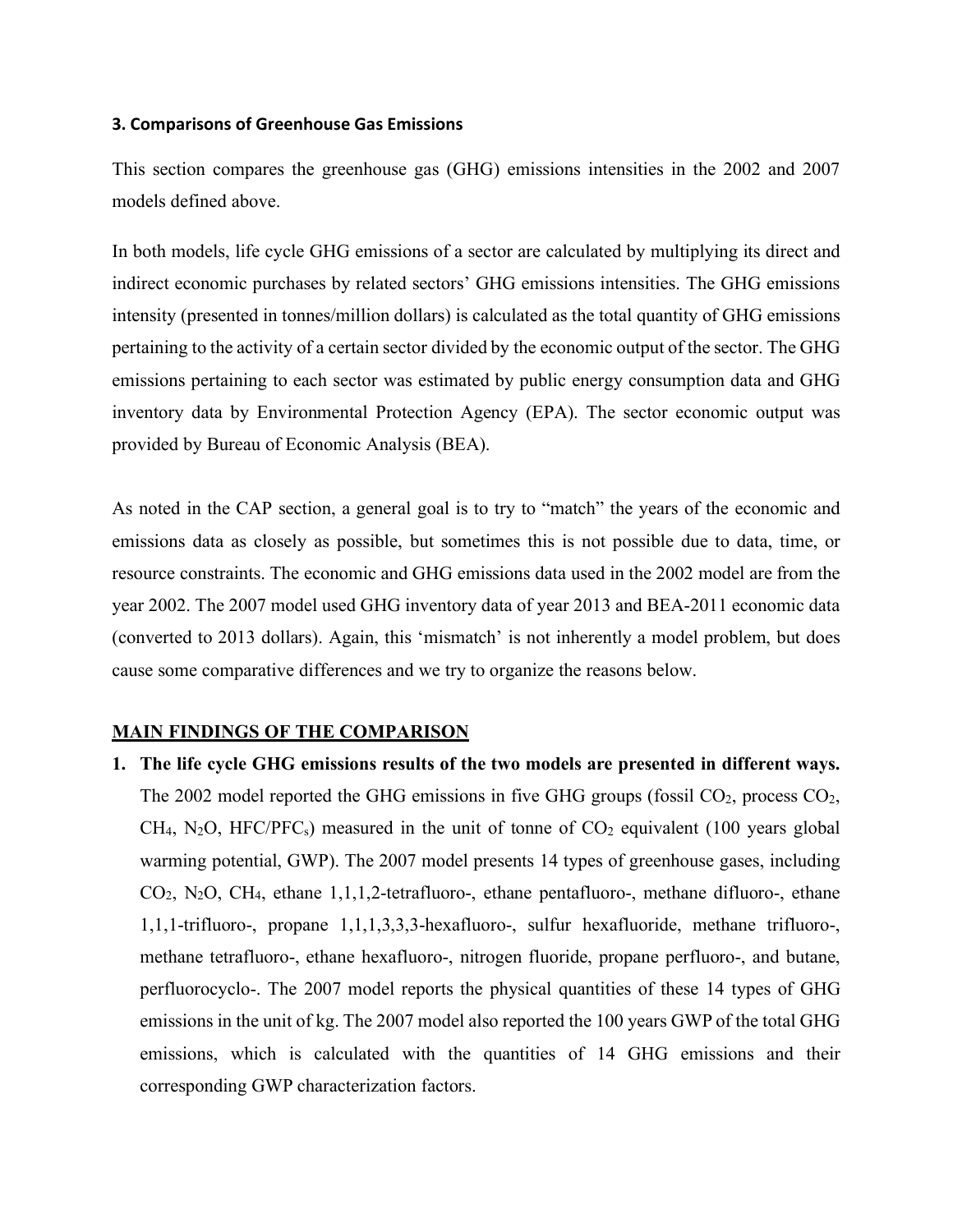### **3. Comparisons of Greenhouse Gas Emissions**

This section compares the greenhouse gas (GHG) emissions intensities in the 2002 and 2007 models defined above.

In both models, life cycle GHG emissions of a sector are calculated by multiplying its direct and indirect economic purchases by related sectors' GHG emissions intensities. The GHG emissions intensity (presented in tonnes/million dollars) is calculated as the total quantity of GHG emissions pertaining to the activity of a certain sector divided by the economic output of the sector. The GHG emissions pertaining to each sector was estimated by public energy consumption data and GHG inventory data by Environmental Protection Agency (EPA). The sector economic output was provided by Bureau of Economic Analysis (BEA).

As noted in the CAP section, a general goal is to try to "match" the years of the economic and emissions data as closely as possible, but sometimes this is not possible due to data, time, or resource constraints. The economic and GHG emissions data used in the 2002 model are from the year 2002. The 2007 model used GHG inventory data of year 2013 and BEA-2011 economic data (converted to 2013 dollars). Again, this 'mismatch' is not inherently a model problem, but does cause some comparative differences and we try to organize the reasons below.

# **MAIN FINDINGS OF THE COMPARISON**

**1. The life cycle GHG emissions results of the two models are presented in different ways.**  The 2002 model reported the GHG emissions in five GHG groups (fossil  $CO<sub>2</sub>$ , process  $CO<sub>2</sub>$ ,  $CH<sub>4</sub>, N<sub>2</sub>O, HFC/PFC<sub>s</sub>$ ) measured in the unit of tonne of  $CO<sub>2</sub>$  equivalent (100 years global warming potential, GWP). The 2007 model presents 14 types of greenhouse gases, including CO2, N2O, CH4, ethane 1,1,1,2-tetrafluoro-, ethane pentafluoro-, methane difluoro-, ethane 1,1,1-trifluoro-, propane 1,1,1,3,3,3-hexafluoro-, sulfur hexafluoride, methane trifluoro-, methane tetrafluoro-, ethane hexafluoro-, nitrogen fluoride, propane perfluoro-, and butane, perfluorocyclo-. The 2007 model reports the physical quantities of these 14 types of GHG emissions in the unit of kg. The 2007 model also reported the 100 years GWP of the total GHG emissions, which is calculated with the quantities of 14 GHG emissions and their corresponding GWP characterization factors.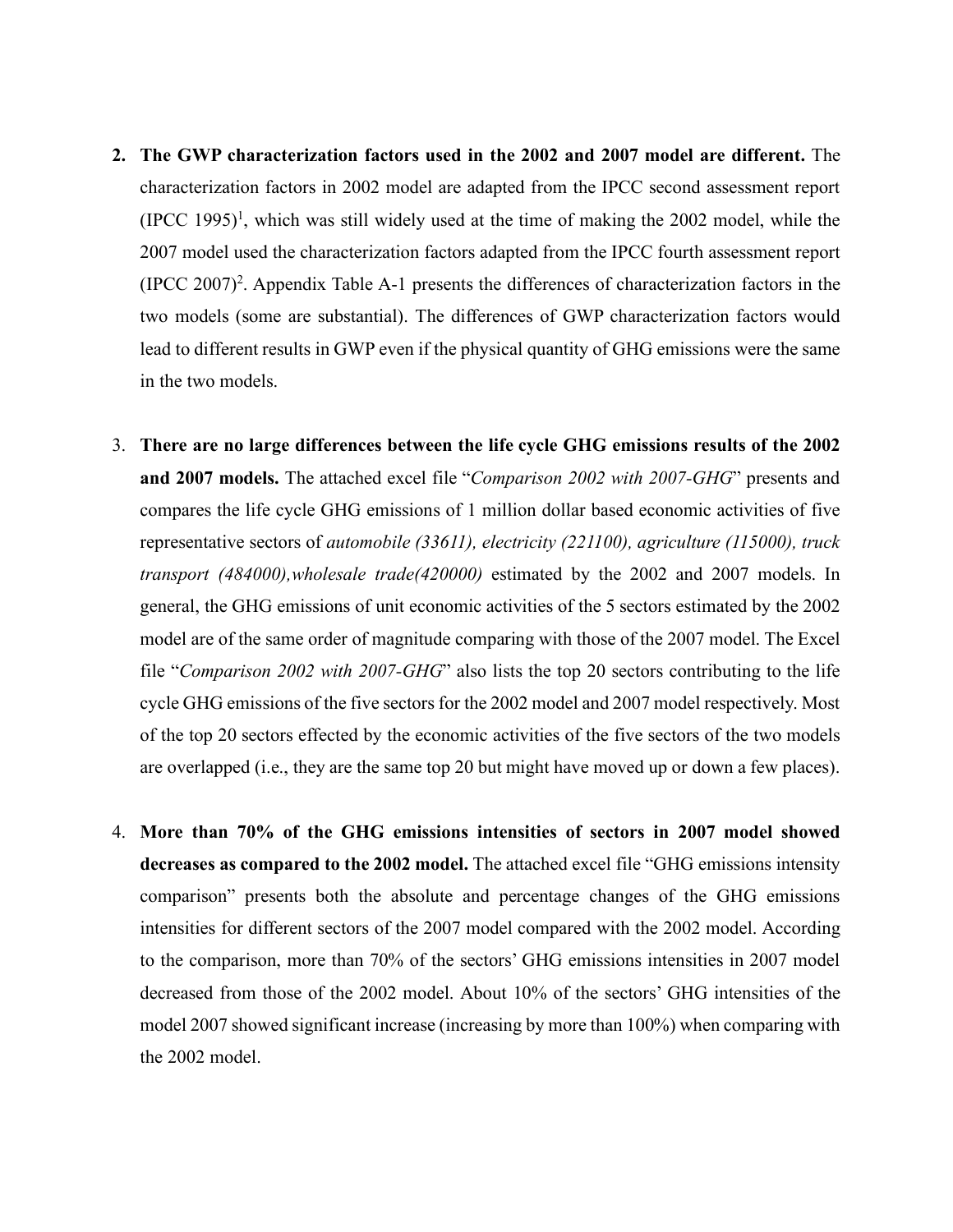- **2. The GWP characterization factors used in the 2002 and 2007 model are different.** The characterization factors in 2002 model are adapted from the IPCC second assessment report  $(IPCC 1995)^1$ , which was still widely used at the time of making the 2002 model, while the 2007 model used the characterization factors adapted from the IPCC fourth assessment report  $(IPC 2007)^2$ . Appendix Table A-1 presents the differences of characterization factors in the two models (some are substantial). The differences of GWP characterization factors would lead to different results in GWP even if the physical quantity of GHG emissions were the same in the two models.
- 3. **There are no large differences between the life cycle GHG emissions results of the 2002 and 2007 models.** The attached excel file "*Comparison 2002 with 2007-GHG*" presents and compares the life cycle GHG emissions of 1 million dollar based economic activities of five representative sectors of *automobile (33611), electricity (221100), agriculture (115000), truck transport (484000),wholesale trade(420000)* estimated by the 2002 and 2007 models. In general, the GHG emissions of unit economic activities of the 5 sectors estimated by the 2002 model are of the same order of magnitude comparing with those of the 2007 model. The Excel file "*Comparison 2002 with 2007-GHG*" also lists the top 20 sectors contributing to the life cycle GHG emissions of the five sectors for the 2002 model and 2007 model respectively. Most of the top 20 sectors effected by the economic activities of the five sectors of the two models are overlapped (i.e., they are the same top 20 but might have moved up or down a few places).
- 4. **More than 70% of the GHG emissions intensities of sectors in 2007 model showed decreases as compared to the 2002 model.** The attached excel file "GHG emissions intensity comparison" presents both the absolute and percentage changes of the GHG emissions intensities for different sectors of the 2007 model compared with the 2002 model. According to the comparison, more than 70% of the sectors' GHG emissions intensities in 2007 model decreased from those of the 2002 model. About 10% of the sectors' GHG intensities of the model 2007 showed significant increase (increasing by more than 100%) when comparing with the 2002 model.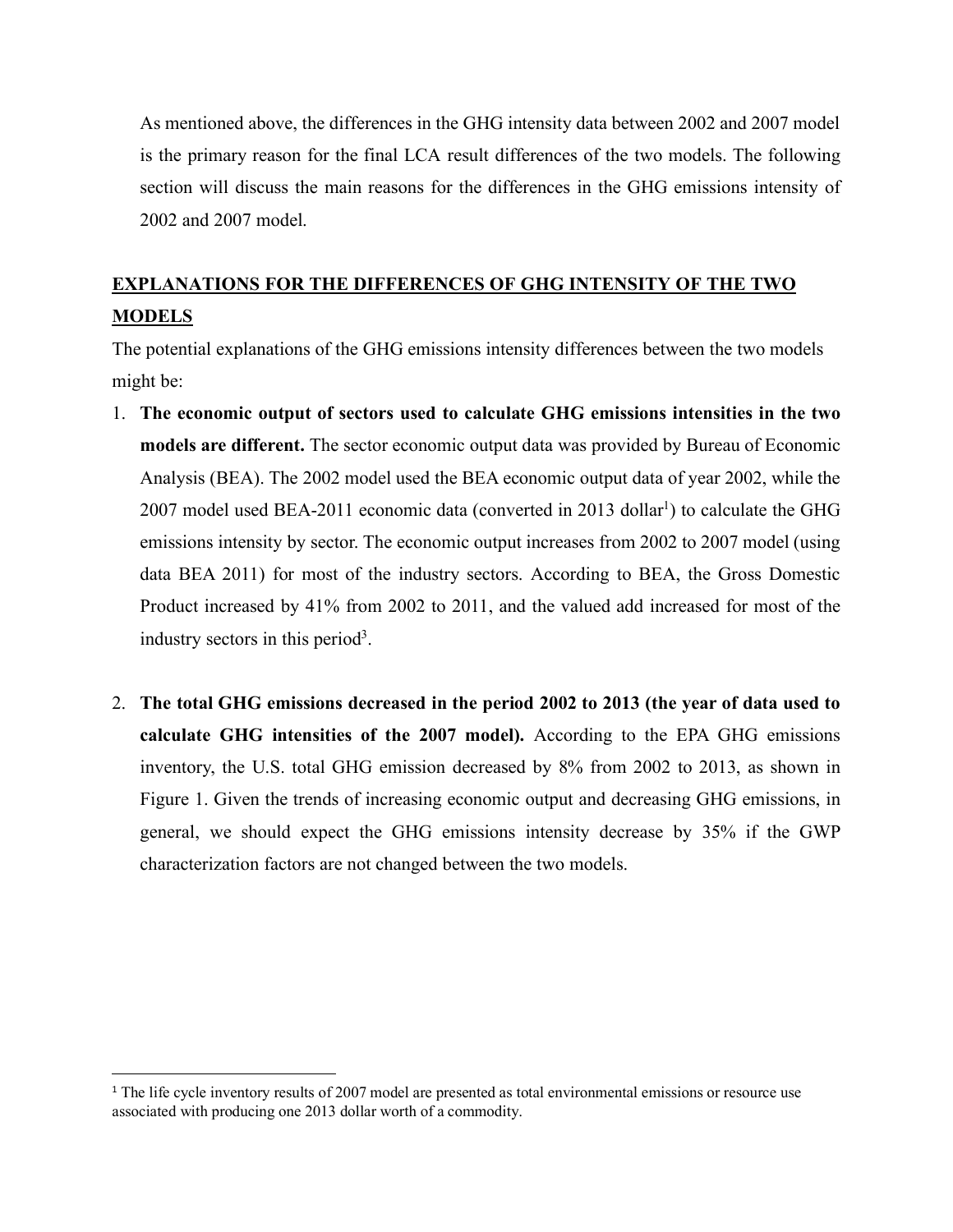As mentioned above, the differences in the GHG intensity data between 2002 and 2007 model is the primary reason for the final LCA result differences of the two models. The following section will discuss the main reasons for the differences in the GHG emissions intensity of 2002 and 2007 model.

# **EXPLANATIONS FOR THE DIFFERENCES OF GHG INTENSITY OF THE TWO MODELS**

The potential explanations of the GHG emissions intensity differences between the two models might be:

- 1. **The economic output of sectors used to calculate GHG emissions intensities in the two models are different.** The sector economic output data was provided by Bureau of Economic Analysis (BEA). The 2002 model used the BEA economic output data of year 2002, while the 2007 model used BEA-2011 economic data (converted in 2013 dollar<sup>1</sup>) to calculate the GHG emissions intensity by sector. The economic output increases from 2002 to 2007 model (using data BEA 2011) for most of the industry sectors. According to BEA, the Gross Domestic Product increased by 41% from 2002 to 2011, and the valued add increased for most of the industry sectors in this period<sup>3</sup>.
- 2. **The total GHG emissions decreased in the period 2002 to 2013 (the year of data used to calculate GHG intensities of the 2007 model).** According to the EPA GHG emissions inventory, the U.S. total GHG emission decreased by 8% from 2002 to 2013, as shown in Figure 1. Given the trends of increasing economic output and decreasing GHG emissions, in general, we should expect the GHG emissions intensity decrease by 35% if the GWP characterization factors are not changed between the two models.

<sup>&</sup>lt;sup>1</sup> The life cycle inventory results of 2007 model are presented as total environmental emissions or resource use associated with producing one 2013 dollar worth of a commodity.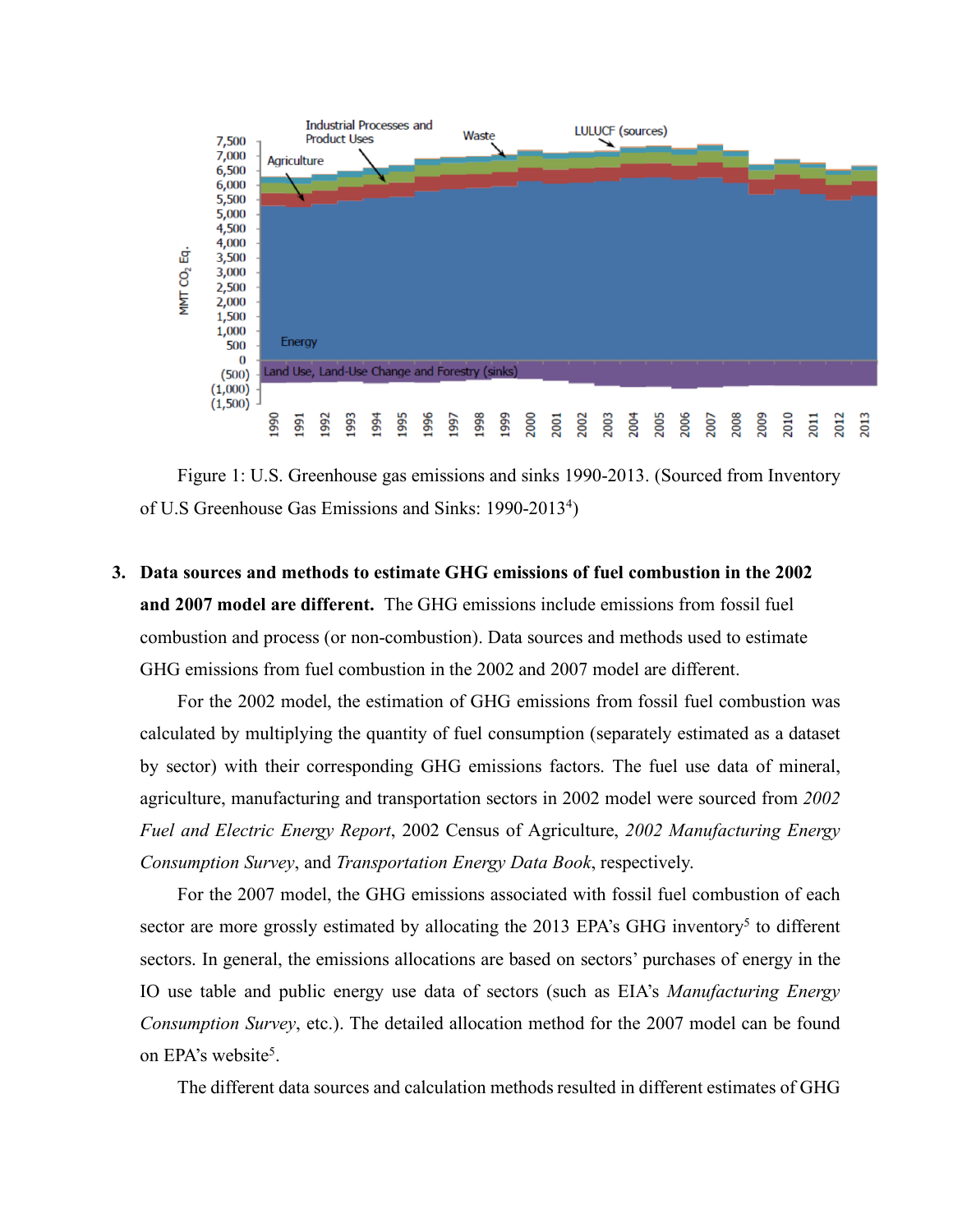

Figure 1: U.S. Greenhouse gas emissions and sinks 1990-2013. (Sourced from Inventory of U.S Greenhouse Gas Emissions and Sinks: 1990-2013<sup>4</sup>)

**3. Data sources and methods to estimate GHG emissions of fuel combustion in the 2002 and 2007 model are different.** The GHG emissions include emissions from fossil fuel combustion and process (or non-combustion). Data sources and methods used to estimate GHG emissions from fuel combustion in the 2002 and 2007 model are different.

For the 2002 model, the estimation of GHG emissions from fossil fuel combustion was calculated by multiplying the quantity of fuel consumption (separately estimated as a dataset by sector) with their corresponding GHG emissions factors. The fuel use data of mineral, agriculture, manufacturing and transportation sectors in 2002 model were sourced from *2002 Fuel and Electric Energy Report*, 2002 Census of Agriculture, *2002 Manufacturing Energy Consumption Survey*, and *Transportation Energy Data Book*, respectively.

For the 2007 model, the GHG emissions associated with fossil fuel combustion of each sector are more grossly estimated by allocating the 2013 EPA's GHG inventory<sup>5</sup> to different sectors. In general, the emissions allocations are based on sectors' purchases of energy in the IO use table and public energy use data of sectors (such as EIA's *Manufacturing Energy Consumption Survey*, etc.). The detailed allocation method for the 2007 model can be found on EPA's website<sup>5</sup>.

The different data sources and calculation methods resulted in different estimates of GHG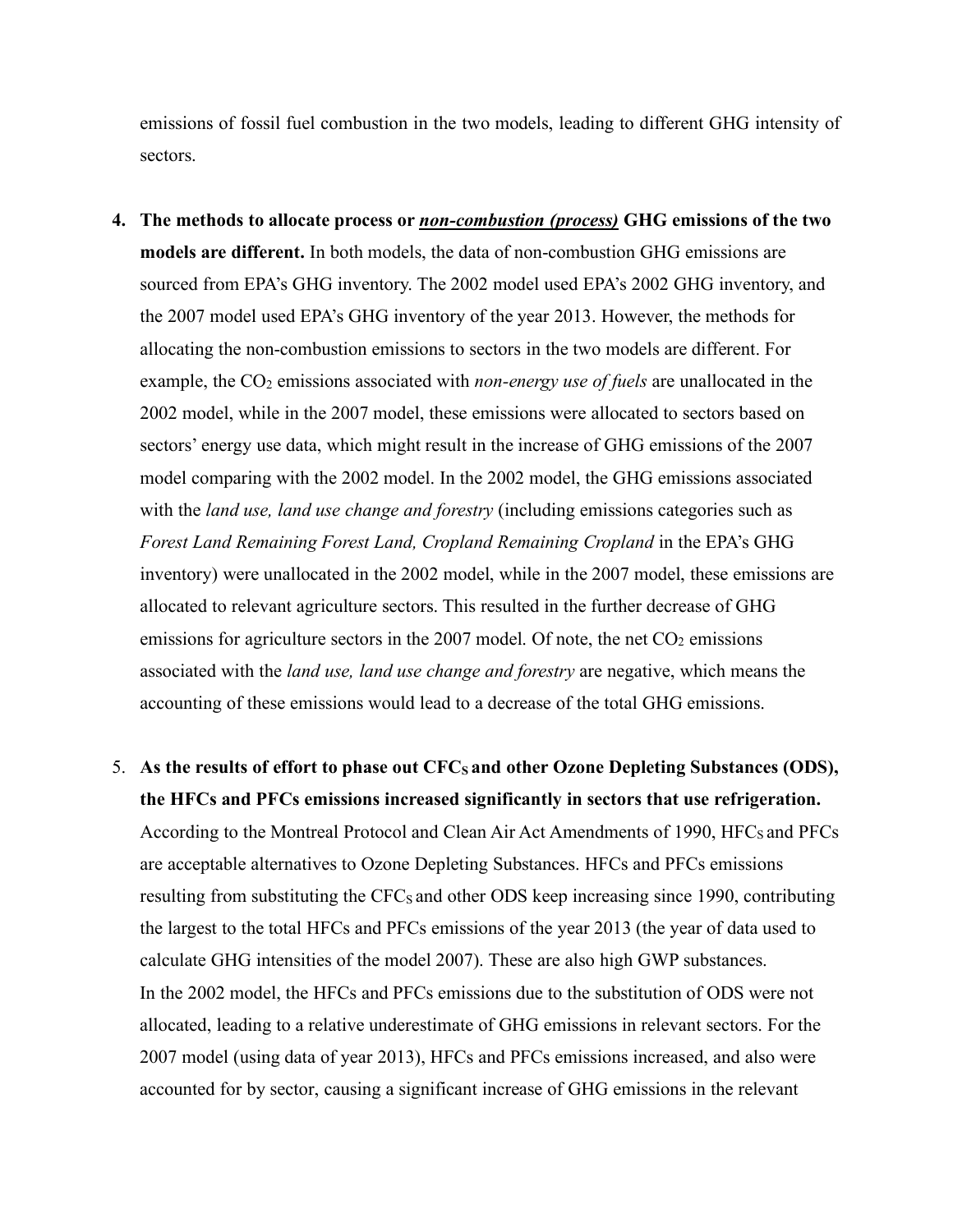emissions of fossil fuel combustion in the two models, leading to different GHG intensity of sectors.

- **4. The methods to allocate process or** *non-combustion (process)* **GHG emissions of the two models are different.** In both models, the data of non-combustion GHG emissions are sourced from EPA's GHG inventory. The 2002 model used EPA's 2002 GHG inventory, and the 2007 model used EPA's GHG inventory of the year 2013. However, the methods for allocating the non-combustion emissions to sectors in the two models are different. For example, the CO<sub>2</sub> emissions associated with *non-energy use of fuels* are unallocated in the 2002 model, while in the 2007 model, these emissions were allocated to sectors based on sectors' energy use data, which might result in the increase of GHG emissions of the 2007 model comparing with the 2002 model. In the 2002 model, the GHG emissions associated with the *land use, land use change and forestry* (including emissions categories such as *Forest Land Remaining Forest Land, Cropland Remaining Cropland* in the EPA's GHG inventory) were unallocated in the 2002 model, while in the 2007 model, these emissions are allocated to relevant agriculture sectors. This resulted in the further decrease of GHG emissions for agriculture sectors in the 2007 model. Of note, the net  $CO<sub>2</sub>$  emissions associated with the *land use, land use change and forestry* are negative, which means the accounting of these emissions would lead to a decrease of the total GHG emissions.
- 5. As the results of effort to phase out CFC<sub>S</sub> and other Ozone Depleting Substances (ODS), **the HFCs and PFCs emissions increased significantly in sectors that use refrigeration.**  According to the Montreal Protocol and Clean Air Act Amendments of 1990, HFC<sub>S</sub> and PFCs are acceptable alternatives to Ozone Depleting Substances. HFCs and PFCs emissions resulting from substituting the  $CFC<sub>S</sub>$  and other ODS keep increasing since 1990, contributing the largest to the total HFCs and PFCs emissions of the year 2013 (the year of data used to calculate GHG intensities of the model 2007). These are also high GWP substances. In the 2002 model, the HFCs and PFCs emissions due to the substitution of ODS were not allocated, leading to a relative underestimate of GHG emissions in relevant sectors. For the 2007 model (using data of year 2013), HFCs and PFCs emissions increased, and also were accounted for by sector, causing a significant increase of GHG emissions in the relevant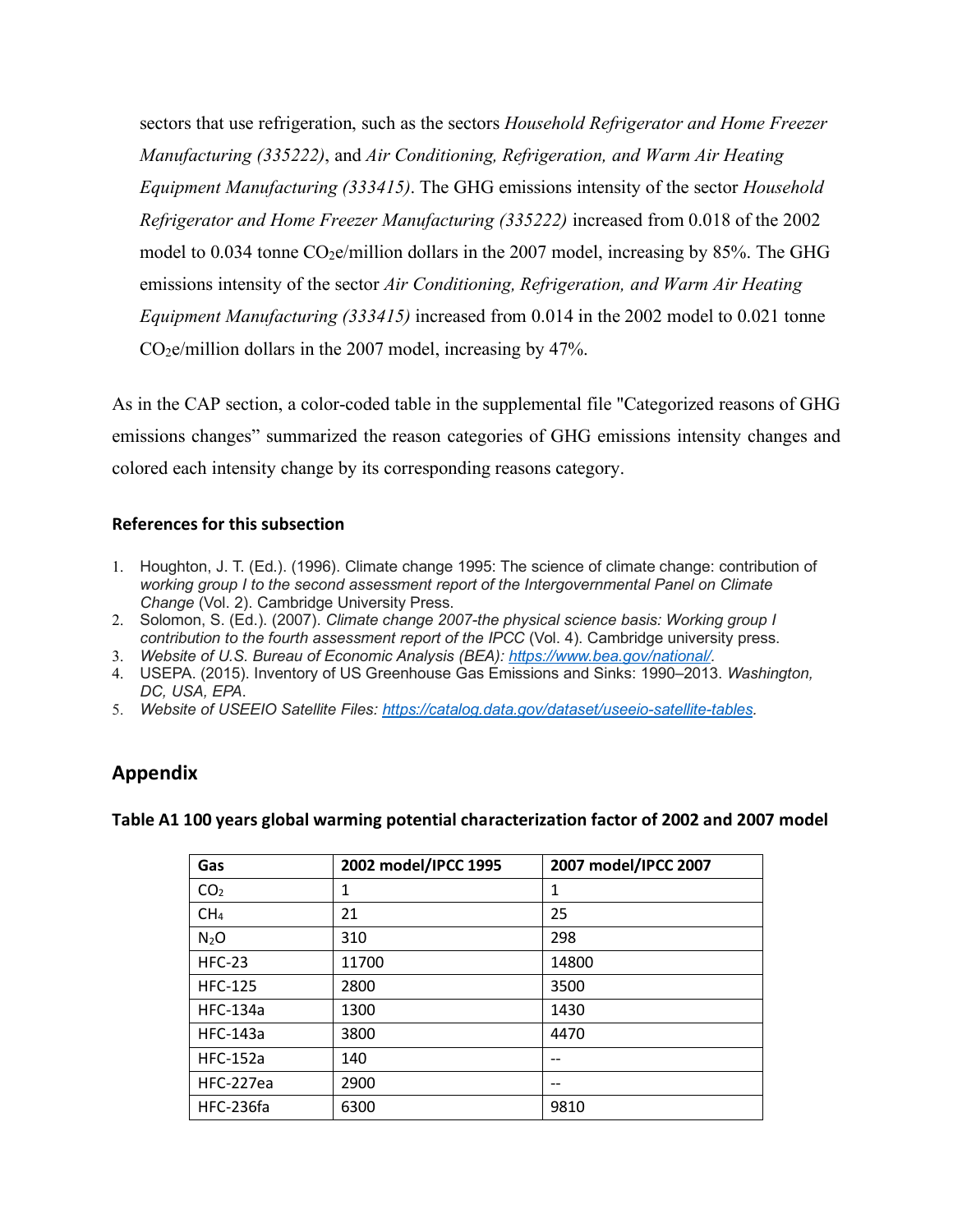sectors that use refrigeration, such as the sectors *Household Refrigerator and Home Freezer Manufacturing (335222)*, and *Air Conditioning, Refrigeration, and Warm Air Heating Equipment Manufacturing (333415)*. The GHG emissions intensity of the sector *Household Refrigerator and Home Freezer Manufacturing (335222)* increased from 0.018 of the 2002 model to 0.034 tonne CO<sub>2</sub>e/million dollars in the 2007 model, increasing by 85%. The GHG emissions intensity of the sector *Air Conditioning, Refrigeration, and Warm Air Heating Equipment Manufacturing (333415)* increased from 0.014 in the 2002 model to 0.021 tonne  $CO<sub>2</sub>e/million dollars in the 2007 model, increasing by 47%.$ 

As in the CAP section, a color-coded table in the supplemental file "Categorized reasons of GHG emissions changes" summarized the reason categories of GHG emissions intensity changes and colored each intensity change by its corresponding reasons category.

## **References for this subsection**

- 1. Houghton, J. T. (Ed.). (1996). Climate change 1995: The science of climate change: contribution of *working group I to the second assessment report of the Intergovernmental Panel on Climate Change* (Vol. 2). Cambridge University Press.
- 2. Solomon, S. (Ed.). (2007). *Climate change 2007-the physical science basis: Working group I contribution to the fourth assessment report of the IPCC* (Vol. 4). Cambridge university press.
- 3. *Website of U.S. Bureau of Economic Analysis (BEA): https://www.bea.gov/national/.*
- 4. USEPA. (2015). Inventory of US Greenhouse Gas Emissions and Sinks: 1990–2013. *Washington, DC, USA, EPA*.
- 5. *Website of USEEIO Satellite Files: https://catalog.data.gov/dataset/useeio-satellite-tables.*

# **Appendix**

**Table A1 100 years global warming potential characterization factor of 2002 and 2007 model**

| Gas             | 2002 model/IPCC 1995 | 2007 model/IPCC 2007 |
|-----------------|----------------------|----------------------|
| CO <sub>2</sub> | 1                    | 1                    |
| CH <sub>4</sub> | 21                   | 25                   |
| $N_2O$          | 310                  | 298                  |
| <b>HFC-23</b>   | 11700                | 14800                |
| <b>HFC-125</b>  | 2800                 | 3500                 |
| <b>HFC-134a</b> | 1300                 | 1430                 |
| <b>HFC-143a</b> | 3800                 | 4470                 |
| <b>HFC-152a</b> | 140                  | --                   |
| HFC-227ea       | 2900                 | --                   |
| HFC-236fa       | 6300                 | 9810                 |